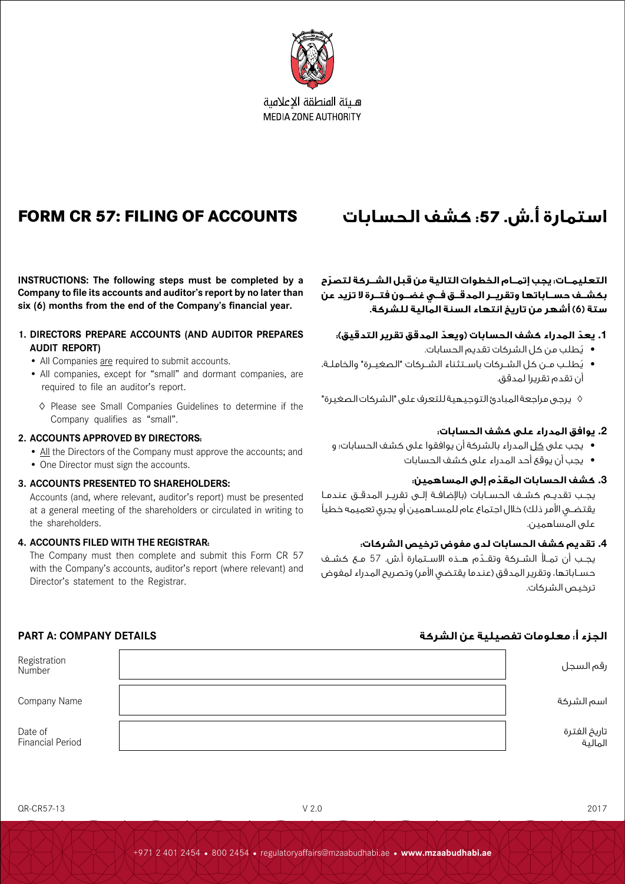

هلئة المنطقة الاعلامية **MEDIA ZONE AUTHORITY** 

# **FORM CR 57: FILING OF ACCOUNTS**

**INSTRUCTIONS: The following steps must be completed by a Company to file its accounts and auditor's report by no later than six (6) months from the end of the Company's financial year.**

### **1. DIRECTORS PREPARE ACCOUNTS (AND AUDITOR PREPARES AUDIT REPORT)**

• All Companies are required to submit accounts.

- All companies, except for "small" and dormant companies, are required to file an auditor's report.
	- ◊ Please see Small Companies Guidelines to determine if the Company qualifies as "small".

### **2. ACCOUNTS APPROVED BY DIRECTORS:**

- All the Directors of the Company must approve the accounts; and
- One Director must sign the accounts.

### **3. ACCOUNTS PRESENTED TO SHAREHOLDERS:**

Accounts (and, where relevant, auditor's report) must be presented at a general meeting of the shareholders or circulated in writing to the shareholders.

## **4. ACCOUNTS FILED WITH THE REGISTRAR:**

The Company must then complete and submit this Form CR 57 with the Company's accounts, auditor's report (where relevant) and Director's statement to the Registrar.

# **استمارة أ.ش. :57 كشف الحسابات**

**ّ التعليمــات: يجب إتمــام الخطوات التالية من قبل الشــركة لتصرح بكشــف حســاباتها وتقريــر المدقــق فــي غضــون فتــرة ال تزيد عن ستة )6( أشهر من تاريخ انتهاء السنة المالية للشركة.**

## .1 **ّ يعد ّ المدراء كشف الحسابات )ويعد المدقق تقرير التدقيق(:**

- ُيطلب من كل الشركات تقديم الحسابات.
- ُيطلــب مــن كل الشــركات باســتثناء الشــركات "الصغيــرة" والخاملــة، أن تقدم تقريرا لمدقق.

◊ يرجى مراجعة المبادئ التوجيهية للتعرف على "الشركات الصغيرة"

## .2 **يوافق المدراء على كشف الحسابات:**

- يجب على كل المدراء بالشركة أن يوافقوا على كشف الحسابات؛ و
	- يجب أن يوقع أحد المدراء على كشف الحسابات

# .3 **ّ كشف الحسابات المقدم إلى المساهمين:**

يجــب تقديــم كشــف الحســابات )باإلضافــة إلــى تقريــر المدقــق عندمــا يقتضــى الأمر ذلك) خلال اجتماع عام للمسـاهمين أو يجرى تعميمه خطياً على المساهمين.

# .4 **تقديم كشف الحسابات لدى مفوض ترخيص الشركات:**

ّ يجــب أن تمــأ الشــركة وتقــدم هــذه االســتمارة أ.ش. 57 مــع كشــف حسـاباتها، وتقرير المدقق (عندما يقتضى الأمر) وتصريح المدراء لمفوض ترخيص الشركات.

# **الجزء أ: معلومات تفصيلية عن الشركة DETAILS COMPANY :A PART**

| Registration<br>Number             | رقم السجل               |
|------------------------------------|-------------------------|
| Company Name                       | اسم الشركة              |
| Date of<br><b>Financial Period</b> | تاريخ الغترة<br>المالية |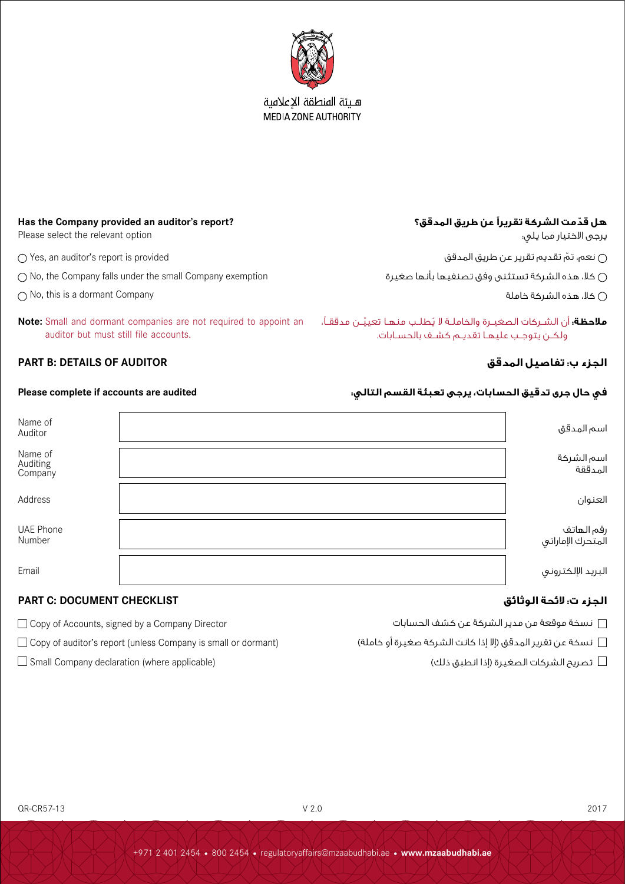

**الجزء ت: الئحة الوثائق CHECKLIST DOCUMENT :C PART**

- □ Copy of Accounts, signed by a Company Director
- $\Box$  Copy of auditor's report (unless Company is small or dormant)
- $\Box$  Small Company declaration (where applicable)

**Company** العنوان Address UAE Phone Number البريد اإللكتروني Email

# **PART B: DETAILS OF AUDITOR المدقق تفاصيل :ب الجزء**

Please select the relevant option

 $\bigcap$  No, this is a dormant Company

Yes, an auditor's report is provided

# Name of Auditing

| Name of<br>Auditor | 'ست |
|--------------------|-----|
|                    |     |

**Has the Company provided an auditor's report?**

 $\bigcap$  No, the Company falls under the small Company exemption

|  | Note: Small and dormant companies are not required to appoint an |  |  | نها تعبيّـن مدققاً، |        |
|--|------------------------------------------------------------------|--|--|---------------------|--------|
|  | auditor but must still file accounts.                            |  |  |                     | ـاىات. |

# **ّ هل قدمت الشركة تقريرًا عن طريق المدقق؟**

يرجى االختيار مما يلي:

ّ نعم، تم تقديم تقرير عن طريق المدقق

كال، هذه الشركة تستثنى وفق تصنفيها بأنها صغيرة

كال، هذه الشركة خاملة

**ملاحظة:** أن الشــركات الـصغيــرة والخاملــة لا يُـطلــب منا ولكــن يتوجــب عليهــا تقديــم كشــف بالحســابات.

# **في حال جرى تدقيق الحسابات، يرجى تعبئة القسم التالي: audited are accounts if complete Please**

اسم الشركة المدققة

رقم الهاتف المتحرك اإلماراتي

نسخة موقعة من مدير الشركة عن كشف الحسابات

نسخة عن تقرير المدقق (إلا إذا كانت الشركة صغيرة أو خاملة)  $\Box$ 

تصريح الشركات الصغيرة (إذا انطبق ذلك)  $\Box$ 



# **MEDIA ZONE AUTHORITY**